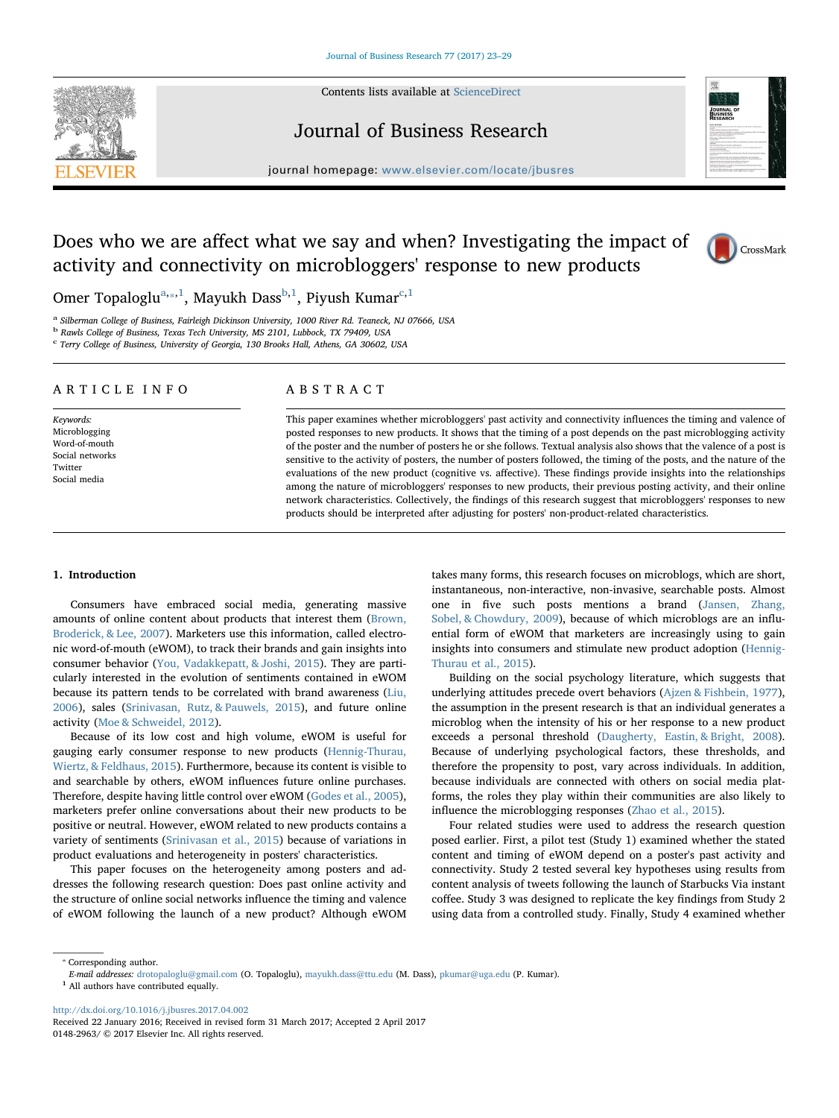Contents lists available at [ScienceDirect](http://www.sciencedirect.com/science/journal/01482963)





# Journal of Business Research

journal homepage: [www.elsevier.com/locate/jbusres](http://www.elsevier.com/locate/jbusres)

# Does who we are affect what we say and when? Investigating the impact of activity and connectivity on microbloggers' response to new products



Omer Top[a](#page-0-0)loglu<sup>a,</sup>\*,<sup>1</sup>, Mayukh Dass<sup>b[,1](#page-0-2)</sup>, Piyush Kumar<sup>c,[1](#page-0-2)</sup>

<span id="page-0-0"></span><sup>a</sup> Silberman College of Business, Fairleigh Dickinson University, 1000 River Rd. Teaneck, NJ 07666, USA

<span id="page-0-3"></span><sup>b</sup> Rawls College of Business, Texas Tech University, MS 2101, Lubbock, TX 79409, USA

<span id="page-0-4"></span> $c$  Terry College of Business, University of Georgia, 130 Brooks Hall, Athens, GA 30602, USA

# ARTICLE INFO

Keywords: Microblogging Word-of-mouth Social networks Twitter Social media

# ABSTRACT

This paper examines whether microbloggers' past activity and connectivity influences the timing and valence of posted responses to new products. It shows that the timing of a post depends on the past microblogging activity of the poster and the number of posters he or she follows. Textual analysis also shows that the valence of a post is sensitive to the activity of posters, the number of posters followed, the timing of the posts, and the nature of the evaluations of the new product (cognitive vs. affective). These findings provide insights into the relationships among the nature of microbloggers' responses to new products, their previous posting activity, and their online network characteristics. Collectively, the findings of this research suggest that microbloggers' responses to new products should be interpreted after adjusting for posters' non-product-related characteristics.

# 1. Introduction

Consumers have embraced social media, generating massive amounts of online content about products that interest them [\(Brown,](#page-6-0) [Broderick, & Lee, 2007](#page-6-0)). Marketers use this information, called electronic word-of-mouth (eWOM), to track their brands and gain insights into consumer behavior [\(You, Vadakkepatt, & Joshi, 2015\)](#page-6-1). They are particularly interested in the evolution of sentiments contained in eWOM because its pattern tends to be correlated with brand awareness [\(Liu,](#page-6-2) [2006\)](#page-6-2), sales [\(Srinivasan, Rutz, & Pauwels, 2015](#page-6-3)), and future online activity ([Moe & Schweidel, 2012](#page-6-4)).

Because of its low cost and high volume, eWOM is useful for gauging early consumer response to new products ([Hennig-Thurau,](#page-6-5) [Wiertz, & Feldhaus, 2015](#page-6-5)). Furthermore, because its content is visible to and searchable by others, eWOM influences future online purchases. Therefore, despite having little control over eWOM ([Godes et al., 2005](#page-6-6)), marketers prefer online conversations about their new products to be positive or neutral. However, eWOM related to new products contains a variety of sentiments [\(Srinivasan et al., 2015](#page-6-3)) because of variations in product evaluations and heterogeneity in posters' characteristics.

This paper focuses on the heterogeneity among posters and addresses the following research question: Does past online activity and the structure of online social networks influence the timing and valence of eWOM following the launch of a new product? Although eWOM takes many forms, this research focuses on microblogs, which are short, instantaneous, non-interactive, non-invasive, searchable posts. Almost one in five such posts mentions a brand ([Jansen, Zhang,](#page-6-7) [Sobel, & Chowdury, 2009\)](#page-6-7), because of which microblogs are an influential form of eWOM that marketers are increasingly using to gain insights into consumers and stimulate new product adoption ([Hennig-](#page-6-5)[Thurau et al., 2015\)](#page-6-5).

Building on the social psychology literature, which suggests that underlying attitudes precede overt behaviors [\(Ajzen & Fishbein, 1977](#page-6-8)), the assumption in the present research is that an individual generates a microblog when the intensity of his or her response to a new product exceeds a personal threshold [\(Daugherty, Eastin, & Bright, 2008](#page-6-9)). Because of underlying psychological factors, these thresholds, and therefore the propensity to post, vary across individuals. In addition, because individuals are connected with others on social media platforms, the roles they play within their communities are also likely to influence the microblogging responses ([Zhao et al., 2015\)](#page-6-10).

Four related studies were used to address the research question posed earlier. First, a pilot test (Study 1) examined whether the stated content and timing of eWOM depend on a poster's past activity and connectivity. Study 2 tested several key hypotheses using results from content analysis of tweets following the launch of Starbucks Via instant coffee. Study 3 was designed to replicate the key findings from Study 2 using data from a controlled study. Finally, Study 4 examined whether

<span id="page-0-1"></span>⁎ Corresponding author.

<http://dx.doi.org/10.1016/j.jbusres.2017.04.002>

E-mail addresses: [drotopaloglu@gmail.com](mailto:drotopaloglu@gmail.com) (O. Topaloglu), [mayukh.dass@ttu.edu](mailto:mayukh.dass@ttu.edu) (M. Dass), [pkumar@uga.edu](mailto:pkumar@uga.edu) (P. Kumar).

<span id="page-0-2"></span> $^{\rm 1}$  All authors have contributed equally.

Received 22 January 2016; Received in revised form 31 March 2017; Accepted 2 April 2017 0148-2963/ © 2017 Elsevier Inc. All rights reserved.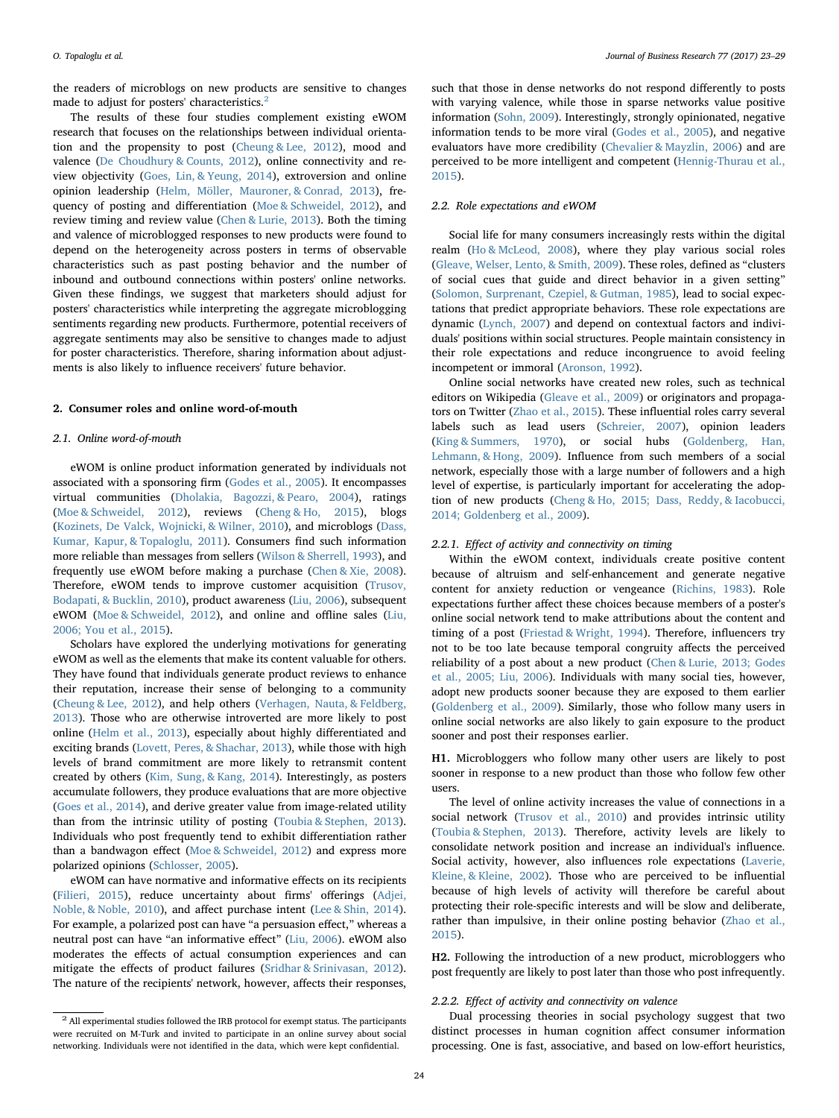the readers of microblogs on new products are sensitive to changes made to adjust for posters' characteristics.<sup>[2](#page-1-0)</sup>

The results of these four studies complement existing eWOM research that focuses on the relationships between individual orientation and the propensity to post ([Cheung & Lee, 2012](#page-6-11)), mood and valence [\(De Choudhury & Counts, 2012](#page-6-12)), online connectivity and review objectivity [\(Goes, Lin, & Yeung, 2014](#page-6-13)), extroversion and online opinion leadership ([Helm, Möller, Mauroner, & Conrad, 2013](#page-6-14)), frequency of posting and differentiation [\(Moe & Schweidel, 2012](#page-6-4)), and review timing and review value ([Chen & Lurie, 2013\)](#page-6-15). Both the timing and valence of microblogged responses to new products were found to depend on the heterogeneity across posters in terms of observable characteristics such as past posting behavior and the number of inbound and outbound connections within posters' online networks. Given these findings, we suggest that marketers should adjust for posters' characteristics while interpreting the aggregate microblogging sentiments regarding new products. Furthermore, potential receivers of aggregate sentiments may also be sensitive to changes made to adjust for poster characteristics. Therefore, sharing information about adjustments is also likely to influence receivers' future behavior.

#### 2. Consumer roles and online word-of-mouth

#### 2.1. Online word-of-mouth

eWOM is online product information generated by individuals not associated with a sponsoring firm ([Godes et al., 2005\)](#page-6-6). It encompasses virtual communities [\(Dholakia, Bagozzi, & Pearo, 2004\)](#page-6-16), ratings ([Moe & Schweidel, 2012](#page-6-4)), reviews [\(Cheng & Ho, 2015](#page-6-17)), blogs ([Kozinets, De Valck, Wojnicki, & Wilner, 2010\)](#page-6-18), and microblogs [\(Dass,](#page-6-19) [Kumar, Kapur, & Topaloglu, 2011\)](#page-6-19). Consumers find such information more reliable than messages from sellers [\(Wilson & Sherrell, 1993](#page-6-20)), and frequently use eWOM before making a purchase ([Chen & Xie, 2008](#page-6-21)). Therefore, eWOM tends to improve customer acquisition [\(Trusov,](#page-6-22) [Bodapati, & Bucklin, 2010](#page-6-22)), product awareness [\(Liu, 2006\)](#page-6-2), subsequent eWOM [\(Moe & Schweidel, 2012](#page-6-4)), and online and offline sales [\(Liu,](#page-6-2) [2006; You et al., 2015\)](#page-6-2).

Scholars have explored the underlying motivations for generating eWOM as well as the elements that make its content valuable for others. They have found that individuals generate product reviews to enhance their reputation, increase their sense of belonging to a community ([Cheung & Lee, 2012\)](#page-6-11), and help others [\(Verhagen, Nauta, & Feldberg,](#page-6-23) [2013\)](#page-6-23). Those who are otherwise introverted are more likely to post online ([Helm et al., 2013\)](#page-6-14), especially about highly differentiated and exciting brands ([Lovett, Peres, & Shachar, 2013](#page-6-24)), while those with high levels of brand commitment are more likely to retransmit content created by others [\(Kim, Sung, & Kang, 2014](#page-6-25)). Interestingly, as posters accumulate followers, they produce evaluations that are more objective ([Goes et al., 2014](#page-6-13)), and derive greater value from image-related utility than from the intrinsic utility of posting ([Toubia & Stephen, 2013](#page-6-26)). Individuals who post frequently tend to exhibit differentiation rather than a bandwagon effect ([Moe & Schweidel, 2012](#page-6-4)) and express more polarized opinions ([Schlosser, 2005](#page-6-27)).

eWOM can have normative and informative effects on its recipients ([Filieri, 2015\)](#page-6-28), reduce uncertainty about firms' offerings ([Adjei,](#page-5-0) [Noble, & Noble, 2010\)](#page-5-0), and affect purchase intent [\(Lee & Shin, 2014](#page-6-29)). For example, a polarized post can have "a persuasion effect," whereas a neutral post can have "an informative effect" ([Liu, 2006\)](#page-6-2). eWOM also moderates the effects of actual consumption experiences and can mitigate the effects of product failures ([Sridhar & Srinivasan, 2012](#page-6-30)). The nature of the recipients' network, however, affects their responses,

such that those in dense networks do not respond differently to posts with varying valence, while those in sparse networks value positive information ([Sohn, 2009\)](#page-6-31). Interestingly, strongly opinionated, negative information tends to be more viral ([Godes et al., 2005](#page-6-6)), and negative evaluators have more credibility [\(Chevalier & Mayzlin, 2006](#page-6-32)) and are perceived to be more intelligent and competent [\(Hennig-Thurau et al.,](#page-6-5) [2015\)](#page-6-5).

# 2.2. Role expectations and eWOM

Social life for many consumers increasingly rests within the digital realm ([Ho & McLeod, 2008\)](#page-6-33), where they play various social roles ([Gleave, Welser, Lento, & Smith, 2009](#page-6-34)). These roles, defined as "clusters of social cues that guide and direct behavior in a given setting" ([Solomon, Surprenant, Czepiel, & Gutman, 1985](#page-6-35)), lead to social expectations that predict appropriate behaviors. These role expectations are dynamic [\(Lynch, 2007\)](#page-6-36) and depend on contextual factors and individuals' positions within social structures. People maintain consistency in their role expectations and reduce incongruence to avoid feeling incompetent or immoral ([Aronson, 1992](#page-6-37)).

Online social networks have created new roles, such as technical editors on Wikipedia [\(Gleave et al., 2009\)](#page-6-34) or originators and propagators on Twitter ([Zhao et al., 2015](#page-6-10)). These influential roles carry several labels such as lead users ([Schreier, 2007](#page-6-38)), opinion leaders ([King & Summers, 1970\)](#page-6-39), or social hubs [\(Goldenberg, Han,](#page-6-40) [Lehmann, & Hong, 2009\)](#page-6-40). Influence from such members of a social network, especially those with a large number of followers and a high level of expertise, is particularly important for accelerating the adoption of new products ([Cheng & Ho, 2015; Dass, Reddy, & Iacobucci,](#page-6-17) [2014; Goldenberg et al., 2009\)](#page-6-17).

# 2.2.1. Effect of activity and connectivity on timing

Within the eWOM context, individuals create positive content because of altruism and self-enhancement and generate negative content for anxiety reduction or vengeance [\(Richins, 1983\)](#page-6-41). Role expectations further affect these choices because members of a poster's online social network tend to make attributions about the content and timing of a post ([Friestad & Wright, 1994\)](#page-6-42). Therefore, influencers try not to be too late because temporal congruity affects the perceived reliability of a post about a new product [\(Chen & Lurie, 2013; Godes](#page-6-15) [et al., 2005; Liu, 2006\)](#page-6-15). Individuals with many social ties, however, adopt new products sooner because they are exposed to them earlier ([Goldenberg et al., 2009](#page-6-40)). Similarly, those who follow many users in online social networks are also likely to gain exposure to the product sooner and post their responses earlier.

<span id="page-1-1"></span>H1. Microbloggers who follow many other users are likely to post sooner in response to a new product than those who follow few other users.

The level of online activity increases the value of connections in a social network [\(Trusov et al., 2010](#page-6-22)) and provides intrinsic utility ([Toubia & Stephen, 2013](#page-6-26)). Therefore, activity levels are likely to consolidate network position and increase an individual's influence. Social activity, however, also influences role expectations ([Laverie,](#page-6-43) [Kleine, & Kleine, 2002\)](#page-6-43). Those who are perceived to be influential because of high levels of activity will therefore be careful about protecting their role-specific interests and will be slow and deliberate, rather than impulsive, in their online posting behavior [\(Zhao et al.,](#page-6-10) [2015\)](#page-6-10).

<span id="page-1-2"></span>H2. Following the introduction of a new product, microbloggers who post frequently are likely to post later than those who post infrequently.

### 2.2.2. Effect of activity and connectivity on valence

Dual processing theories in social psychology suggest that two distinct processes in human cognition affect consumer information processing. One is fast, associative, and based on low-effort heuristics,

<span id="page-1-0"></span><sup>&</sup>lt;sup>2</sup> All experimental studies followed the IRB protocol for exempt status. The participants were recruited on M-Turk and invited to participate in an online survey about social networking. Individuals were not identified in the data, which were kept confidential.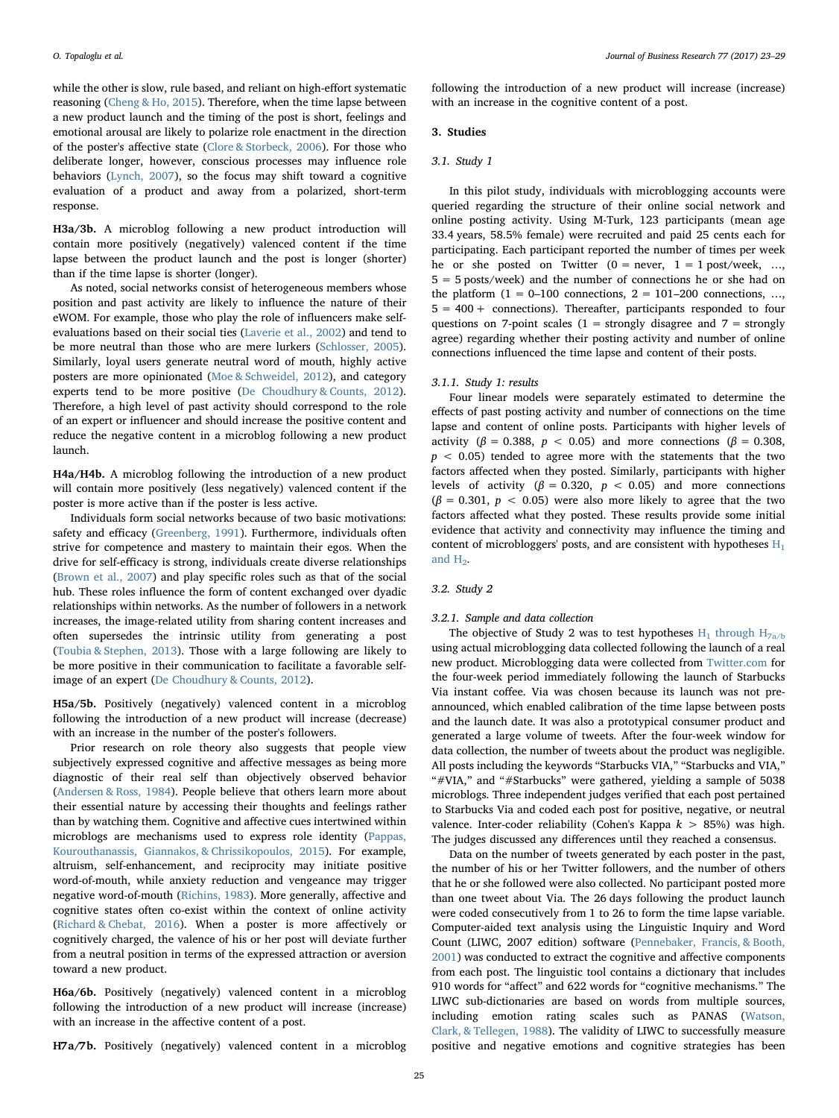while the other is slow, rule based, and reliant on high-effort systematic reasoning ([Cheng & Ho, 2015](#page-6-17)). Therefore, when the time lapse between a new product launch and the timing of the post is short, feelings and emotional arousal are likely to polarize role enactment in the direction of the poster's affective state [\(Clore & Storbeck, 2006\)](#page-6-44). For those who deliberate longer, however, conscious processes may influence role behaviors ([Lynch, 2007\)](#page-6-36), so the focus may shift toward a cognitive evaluation of a product and away from a polarized, short-term response.

<span id="page-2-0"></span>H3a/3b. A microblog following a new product introduction will contain more positively (negatively) valenced content if the time lapse between the product launch and the post is longer (shorter) than if the time lapse is shorter (longer).

As noted, social networks consist of heterogeneous members whose position and past activity are likely to influence the nature of their eWOM. For example, those who play the role of influencers make selfevaluations based on their social ties ([Laverie et al., 2002](#page-6-43)) and tend to be more neutral than those who are mere lurkers [\(Schlosser, 2005](#page-6-27)). Similarly, loyal users generate neutral word of mouth, highly active posters are more opinionated [\(Moe & Schweidel, 2012](#page-6-4)), and category experts tend to be more positive ([De Choudhury & Counts, 2012](#page-6-12)). Therefore, a high level of past activity should correspond to the role of an expert or influencer and should increase the positive content and reduce the negative content in a microblog following a new product launch.

<span id="page-2-2"></span>H4a/H4b. A microblog following the introduction of a new product will contain more positively (less negatively) valenced content if the poster is more active than if the poster is less active.

Individuals form social networks because of two basic motivations: safety and efficacy ([Greenberg, 1991\)](#page-6-45). Furthermore, individuals often strive for competence and mastery to maintain their egos. When the drive for self-efficacy is strong, individuals create diverse relationships ([Brown et al., 2007](#page-6-0)) and play specific roles such as that of the social hub. These roles influence the form of content exchanged over dyadic relationships within networks. As the number of followers in a network increases, the image-related utility from sharing content increases and often supersedes the intrinsic utility from generating a post ([Toubia & Stephen, 2013\)](#page-6-26). Those with a large following are likely to be more positive in their communication to facilitate a favorable selfimage of an expert [\(De Choudhury & Counts, 2012\)](#page-6-12).

<span id="page-2-3"></span>H5a/5b. Positively (negatively) valenced content in a microblog following the introduction of a new product will increase (decrease) with an increase in the number of the poster's followers.

Prior research on role theory also suggests that people view subjectively expressed cognitive and affective messages as being more diagnostic of their real self than objectively observed behavior ([Andersen & Ross, 1984](#page-6-46)). People believe that others learn more about their essential nature by accessing their thoughts and feelings rather than by watching them. Cognitive and affective cues intertwined within microblogs are mechanisms used to express role identity ([Pappas,](#page-6-47) [Kourouthanassis, Giannakos, & Chrissikopoulos, 2015\)](#page-6-47). For example, altruism, self-enhancement, and reciprocity may initiate positive word-of-mouth, while anxiety reduction and vengeance may trigger negative word-of-mouth ([Richins, 1983](#page-6-41)). More generally, affective and cognitive states often co-exist within the context of online activity ([Richard & Chebat, 2016\)](#page-6-48). When a poster is more affectively or cognitively charged, the valence of his or her post will deviate further from a neutral position in terms of the expressed attraction or aversion toward a new product.

<span id="page-2-4"></span>H6a/6b. Positively (negatively) valenced content in a microblog following the introduction of a new product will increase (increase) with an increase in the affective content of a post.

<span id="page-2-1"></span>H7a/7b. Positively (negatively) valenced content in a microblog

### 3.1. Study 1

In this pilot study, individuals with microblogging accounts were queried regarding the structure of their online social network and online posting activity. Using M-Turk, 123 participants (mean age 33.4 years, 58.5% female) were recruited and paid 25 cents each for participating. Each participant reported the number of times per week he or she posted on Twitter  $(0 = never, 1 = 1 post/week, ...$ 5 = 5 posts/week) and the number of connections he or she had on the platform  $(1 = 0-100$  connections,  $2 = 101-200$  connections, ...  $5 = 400 +$  connections). Thereafter, participants responded to four questions on 7-point scales ( $1 =$  strongly disagree and  $7 =$  strongly agree) regarding whether their posting activity and number of online connections influenced the time lapse and content of their posts.

following the introduction of a new product will increase (increase)

with an increase in the cognitive content of a post.

#### 3.1.1. Study 1: results

Four linear models were separately estimated to determine the effects of past posting activity and number of connections on the time lapse and content of online posts. Participants with higher levels of activity ( $\beta = 0.388$ ,  $p < 0.05$ ) and more connections ( $\beta = 0.308$ ,  $p < 0.05$ ) tended to agree more with the statements that the two factors affected when they posted. Similarly, participants with higher levels of activity ( $\beta = 0.320$ ,  $p < 0.05$ ) and more connections  $(\beta = 0.301, p < 0.05)$  were also more likely to agree that the two factors affected what they posted. These results provide some initial evidence that activity and connectivity may influence the timing and content of microbloggers' posts, and are consistent with hypotheses  $H_1$ and  $H<sub>2</sub>$ .

# 3.2. Study 2

### 3.2.1. Sample and data collection

The objective of Study 2 was to test hypotheses  $H_1$  through  $H_{7a/b}$ using actual microblogging data collected following the launch of a real new product. Microblogging data were collected from [Twitter.com](http://Twitter.com) for the four-week period immediately following the launch of Starbucks Via instant coffee. Via was chosen because its launch was not preannounced, which enabled calibration of the time lapse between posts and the launch date. It was also a prototypical consumer product and generated a large volume of tweets. After the four-week window for data collection, the number of tweets about the product was negligible. All posts including the keywords "Starbucks VIA," "Starbucks and VIA," "#VIA," and "#Starbucks" were gathered, yielding a sample of 5038 microblogs. Three independent judges verified that each post pertained to Starbucks Via and coded each post for positive, negative, or neutral valence. Inter-coder reliability (Cohen's Kappa  $k > 85\%$ ) was high. The judges discussed any differences until they reached a consensus.

Data on the number of tweets generated by each poster in the past, the number of his or her Twitter followers, and the number of others that he or she followed were also collected. No participant posted more than one tweet about Via. The 26 days following the product launch were coded consecutively from 1 to 26 to form the time lapse variable. Computer-aided text analysis using the Linguistic Inquiry and Word Count (LIWC, 2007 edition) software ([Pennebaker, Francis, & Booth,](#page-6-49) [2001\)](#page-6-49) was conducted to extract the cognitive and affective components from each post. The linguistic tool contains a dictionary that includes 910 words for "affect" and 622 words for "cognitive mechanisms." The LIWC sub-dictionaries are based on words from multiple sources, including emotion rating scales such as PANAS [\(Watson,](#page-6-50) [Clark, & Tellegen, 1988](#page-6-50)). The validity of LIWC to successfully measure positive and negative emotions and cognitive strategies has been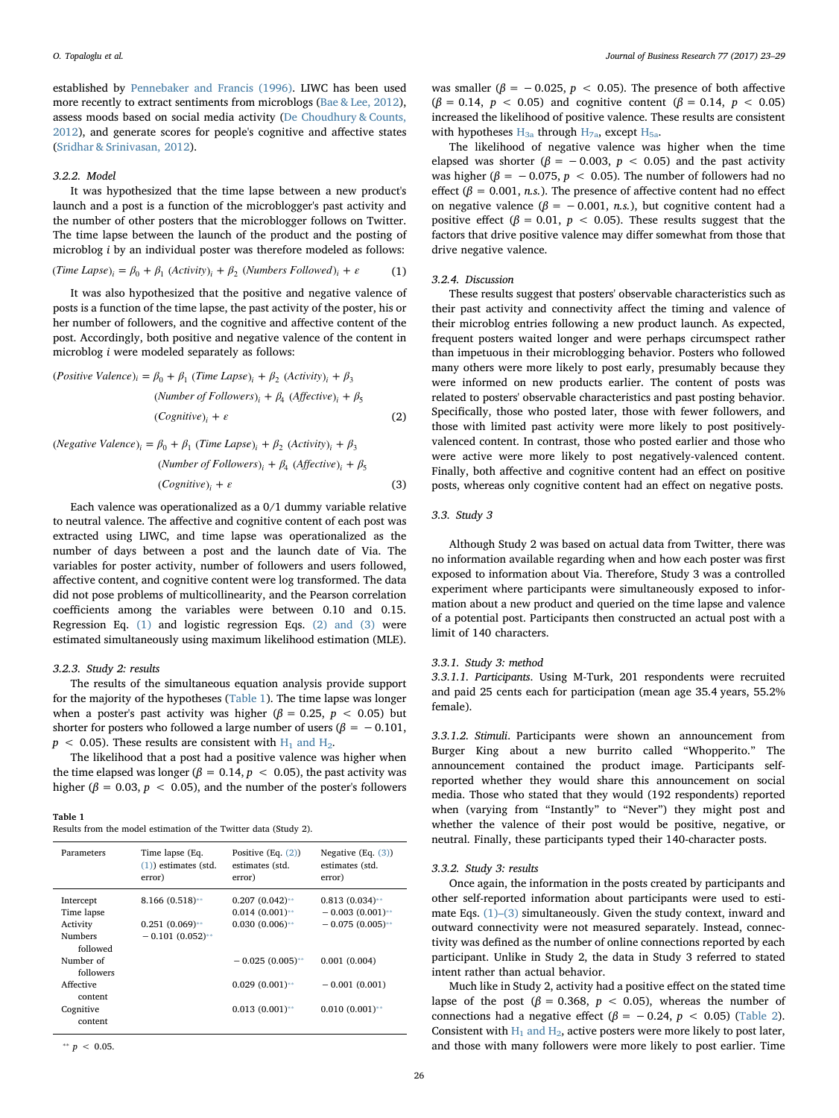established by [Pennebaker and Francis \(1996\).](#page-6-51) LIWC has been used more recently to extract sentiments from microblogs ([Bae & Lee, 2012](#page-6-52)), assess moods based on social media activity ([De Choudhury & Counts,](#page-6-12) [2012\)](#page-6-12), and generate scores for people's cognitive and affective states ([Sridhar & Srinivasan, 2012\)](#page-6-30).

## 3.2.2. Model

It was hypothesized that the time lapse between a new product's launch and a post is a function of the microblogger's past activity and the number of other posters that the microblogger follows on Twitter. The time lapse between the launch of the product and the posting of microblog i by an individual poster was therefore modeled as follows:

<span id="page-3-0"></span>
$$
(Time \, Lapse)_i = \beta_0 + \beta_1 \, (Activity)_i + \beta_2 \, (Numbers \, Followed)_i + \varepsilon \tag{1}
$$

It was also hypothesized that the positive and negative valence of posts is a function of the time lapse, the past activity of the poster, his or her number of followers, and the cognitive and affective content of the post. Accordingly, both positive and negative valence of the content in microblog i were modeled separately as follows:

<span id="page-3-1"></span>
$$
(Positive Valuence)_i = \beta_0 + \beta_1 (Time Large)_i + \beta_2 (Activity)_i + \beta_3
$$
  
\n
$$
(Number of Followers)_i + \beta_4 (Afteritive)_i + \beta_5
$$
  
\n
$$
(Cognitive)_i + \varepsilon
$$
  
\n(2)

<span id="page-3-3"></span>(*Negative Valuence*)<sub>i</sub> = 
$$
\beta_0 + \beta_1
$$
 (Time Lapse)<sub>i</sub> +  $\beta_2$  (Activity)<sub>i</sub> +  $\beta_3$   
(Number of Followers)<sub>i</sub> +  $\beta_4$  (Affective)<sub>i</sub> +  $\beta_5$   
(Cognitive)<sub>i</sub> +  $\varepsilon$  (3)

Each valence was operationalized as a 0/1 dummy variable relative to neutral valence. The affective and cognitive content of each post was extracted using LIWC, and time lapse was operationalized as the number of days between a post and the launch date of Via. The variables for poster activity, number of followers and users followed, affective content, and cognitive content were log transformed. The data did not pose problems of multicollinearity, and the Pearson correlation coefficients among the variables were between 0.10 and 0.15. Regression Eq. [\(1\)](#page-3-0) and logistic regression Eqs. [\(2\) and \(3\)](#page-3-1) were estimated simultaneously using maximum likelihood estimation (MLE).

## 3.2.3. Study 2: results

The results of the simultaneous equation analysis provide support for the majority of the hypotheses ([Table 1](#page-3-2)). The time lapse was longer when a poster's past activity was higher ( $\beta = 0.25$ ,  $p < 0.05$ ) but shorter for posters who followed a large number of users ( $\beta = -0.101$ ,  $p < 0.05$ ). These results are consistent with  $H_1$  and  $H_2$ .

The likelihood that a post had a positive valence was higher when the time elapsed was longer ( $\beta = 0.14$ ,  $p < 0.05$ ), the past activity was higher ( $\beta = 0.03$ ,  $p < 0.05$ ), and the number of the poster's followers

<span id="page-3-2"></span>

| ан |  |
|----|--|
|----|--|

| Results from the model estimation of the Twitter data (Study 2). |  |  |  |  |  |  |  |
|------------------------------------------------------------------|--|--|--|--|--|--|--|
|------------------------------------------------------------------|--|--|--|--|--|--|--|

| Parameters                                                                                                                                  | Time lapse (Eq.                                              | Positive $(Eq. (2))$                                                                                                        | Negative $(Eq. (3))$                                                                                                  |
|---------------------------------------------------------------------------------------------------------------------------------------------|--------------------------------------------------------------|-----------------------------------------------------------------------------------------------------------------------------|-----------------------------------------------------------------------------------------------------------------------|
|                                                                                                                                             | $(1)$ ) estimates (std.                                      | estimates (std.                                                                                                             | estimates (std.                                                                                                       |
|                                                                                                                                             | error)                                                       | error)                                                                                                                      | error)                                                                                                                |
| Intercept<br>Time lapse<br>Activity<br><b>Numbers</b><br>followed<br>Number of<br>followers<br>Affective<br>content<br>Cognitive<br>content | $8.166(0.518)$ **<br>$0.251(0.069)$ **<br>$-0.101(0.052)$ ** | $0.207(0.042)$ **<br>$0.014(0.001)$ **<br>$0.030(0.006)$ **<br>$-0.025(0.005)$ **<br>$0.029(0.001)$ **<br>$0.013(0.001)$ ** | $0.813(0.034)$ **<br>$-0.003(0.001)$ **<br>$-0.075(0.005)$ **<br>0.001(0.004)<br>$-0.001(0.001)$<br>$0.010(0.001)$ ** |

<span id="page-3-4"></span>\*\*  $p \, < \, 0.05$ .

was smaller ( $\beta = -0.025$ ,  $p < 0.05$ ). The presence of both affective ( $\beta$  = 0.14,  $p$  < 0.05) and cognitive content ( $\beta$  = 0.14,  $p$  < 0.05) increased the likelihood of positive valence. These results are consistent with hypotheses  $H_{3a}$  [through](#page-2-0)  $H_{7a}$ , except  $H_{5a}$ .

The likelihood of negative valence was higher when the time elapsed was shorter ( $\beta$  = -0.003, p < 0.05) and the past activity was higher ( $\beta = -0.075$ ,  $p < 0.05$ ). The number of followers had no effect ( $\beta$  = 0.001, *n.s.*). The presence of affective content had no effect on negative valence ( $\beta$  = -0.001, n.s.), but cognitive content had a positive effect ( $\beta = 0.01$ ,  $p < 0.05$ ). These results suggest that the factors that drive positive valence may differ somewhat from those that drive negative valence.

#### 3.2.4. Discussion

These results suggest that posters' observable characteristics such as their past activity and connectivity affect the timing and valence of their microblog entries following a new product launch. As expected, frequent posters waited longer and were perhaps circumspect rather than impetuous in their microblogging behavior. Posters who followed many others were more likely to post early, presumably because they were informed on new products earlier. The content of posts was related to posters' observable characteristics and past posting behavior. Specifically, those who posted later, those with fewer followers, and those with limited past activity were more likely to post positivelyvalenced content. In contrast, those who posted earlier and those who were active were more likely to post negatively-valenced content. Finally, both affective and cognitive content had an effect on positive posts, whereas only cognitive content had an effect on negative posts.

# 3.3. Study 3

Although Study 2 was based on actual data from Twitter, there was no information available regarding when and how each poster was first exposed to information about Via. Therefore, Study 3 was a controlled experiment where participants were simultaneously exposed to information about a new product and queried on the time lapse and valence of a potential post. Participants then constructed an actual post with a limit of 140 characters.

#### 3.3.1. Study 3: method

3.3.1.1. Participants. Using M-Turk, 201 respondents were recruited and paid 25 cents each for participation (mean age 35.4 years, 55.2% female).

3.3.1.2. Stimuli. Participants were shown an announcement from Burger King about a new burrito called "Whopperito." The announcement contained the product image. Participants selfreported whether they would share this announcement on social media. Those who stated that they would (192 respondents) reported when (varying from "Instantly" to "Never") they might post and whether the valence of their post would be positive, negative, or neutral. Finally, these participants typed their 140-character posts.

#### 3.3.2. Study 3: results

Once again, the information in the posts created by participants and other self-reported information about participants were used to estimate Eqs. [\(1\)](#page-3-0)–(3) simultaneously. Given the study context, inward and outward connectivity were not measured separately. Instead, connectivity was defined as the number of online connections reported by each participant. Unlike in Study 2, the data in Study 3 referred to stated intent rather than actual behavior.

Much like in Study 2, activity had a positive effect on the stated time lapse of the post ( $\beta$  = 0.368,  $p$  < 0.05), whereas the number of connections had a negative effect ( $\beta = -0.24$ ,  $p < 0.05$ ) [\(Table 2](#page-4-0)). Consistent with  $H_1$  and  $H_2$ , active posters were more likely to post later, and those with many followers were more likely to post earlier. Time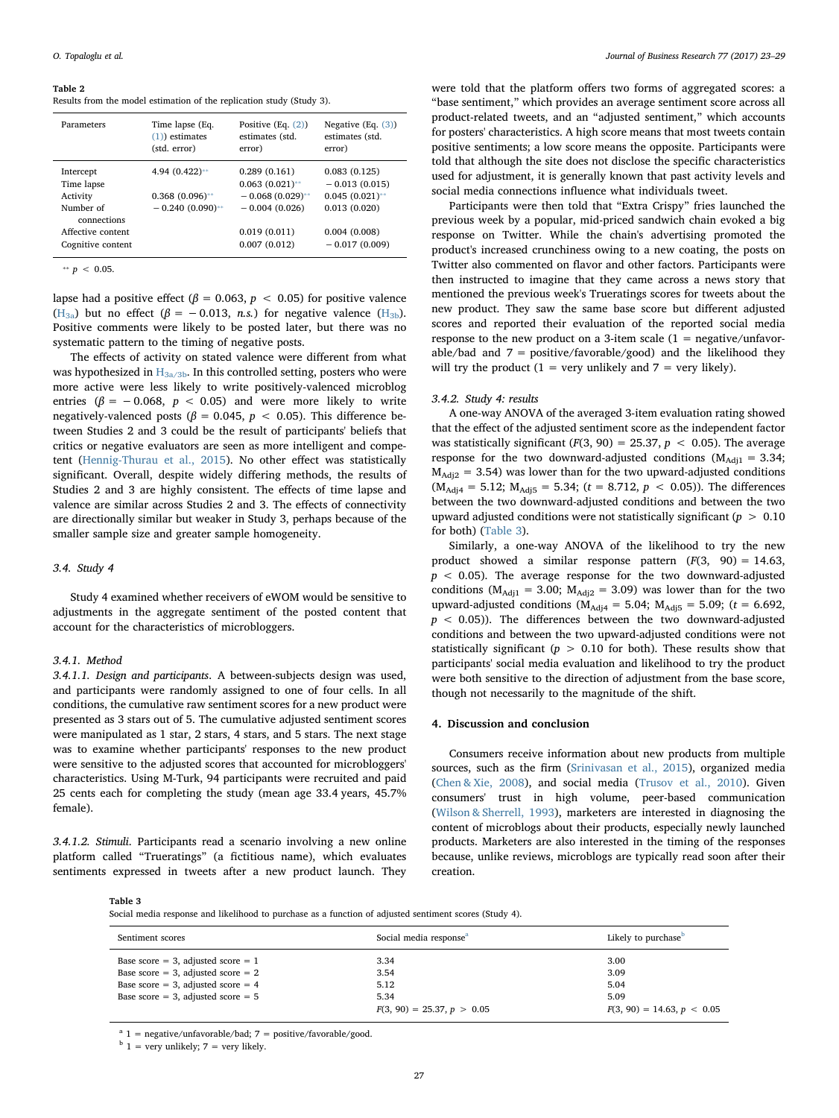#### <span id="page-4-0"></span>Table 2

Results from the model estimation of the replication study (Study 3).

| Parameters                                                                                                | Time lapse (Eq.                                              | Positive $(Eq. (2))$                                                                                       | Negative $(Eq. (3))$                                                                                    |
|-----------------------------------------------------------------------------------------------------------|--------------------------------------------------------------|------------------------------------------------------------------------------------------------------------|---------------------------------------------------------------------------------------------------------|
|                                                                                                           | $(1)$ ) estimates                                            | estimates (std.                                                                                            | estimates (std.                                                                                         |
|                                                                                                           | (std. error)                                                 | error)                                                                                                     | error)                                                                                                  |
| Intercept<br>Time lapse<br>Activity<br>Number of<br>connections<br>Affective content<br>Cognitive content | 4.94 $(0.422)$ **<br>$0.368(0.096)$ **<br>$-0.240(0.090)$ ** | 0.289(0.161)<br>$0.063(0.021)$ **<br>$-0.068(0.029)$ **<br>$-0.004(0.026)$<br>0.019(0.011)<br>0.007(0.012) | 0.083(0.125)<br>$-0.013(0.015)$<br>$0.045(0.021)$ **<br>0.013(0.020)<br>0.004(0.008)<br>$-0.017(0.009)$ |

<span id="page-4-2"></span>\*\*  $p \, < \, 0.05$ .

lapse had a positive effect ( $\beta = 0.063$ ,  $p < 0.05$ ) for positive valence  $(H_{3a})$  but no effect  $(\beta = -0.013, n.s.)$  for negative valence  $(H_{3b})$ . Positive comments were likely to be posted later, but there was no systematic pattern to the timing of negative posts.

The effects of activity on stated valence were different from what was hypothesized in  $H_{3a/3b}$ . In this controlled setting, posters who were more active were less likely to write positively-valenced microblog entries ( $\beta$  = -0.068,  $p$  < 0.05) and were more likely to write negatively-valenced posts ( $\beta = 0.045$ ,  $p < 0.05$ ). This difference between Studies 2 and 3 could be the result of participants' beliefs that critics or negative evaluators are seen as more intelligent and competent ([Hennig-Thurau et al., 2015](#page-6-5)). No other effect was statistically significant. Overall, despite widely differing methods, the results of Studies 2 and 3 are highly consistent. The effects of time lapse and valence are similar across Studies 2 and 3. The effects of connectivity are directionally similar but weaker in Study 3, perhaps because of the smaller sample size and greater sample homogeneity.

#### 3.4. Study 4

Study 4 examined whether receivers of eWOM would be sensitive to adjustments in the aggregate sentiment of the posted content that account for the characteristics of microbloggers.

#### 3.4.1. Method

3.4.1.1. Design and participants. A between-subjects design was used, and participants were randomly assigned to one of four cells. In all conditions, the cumulative raw sentiment scores for a new product were presented as 3 stars out of 5. The cumulative adjusted sentiment scores were manipulated as 1 star, 2 stars, 4 stars, and 5 stars. The next stage was to examine whether participants' responses to the new product were sensitive to the adjusted scores that accounted for microbloggers' characteristics. Using M-Turk, 94 participants were recruited and paid 25 cents each for completing the study (mean age 33.4 years, 45.7% female).

3.4.1.2. Stimuli. Participants read a scenario involving a new online platform called "Trueratings" (a fictitious name), which evaluates sentiments expressed in tweets after a new product launch. They

were told that the platform offers two forms of aggregated scores: a "base sentiment," which provides an average sentiment score across all product-related tweets, and an "adjusted sentiment," which accounts for posters' characteristics. A high score means that most tweets contain positive sentiments; a low score means the opposite. Participants were told that although the site does not disclose the specific characteristics used for adjustment, it is generally known that past activity levels and social media connections influence what individuals tweet.

Participants were then told that "Extra Crispy" fries launched the previous week by a popular, mid-priced sandwich chain evoked a big response on Twitter. While the chain's advertising promoted the product's increased crunchiness owing to a new coating, the posts on Twitter also commented on flavor and other factors. Participants were then instructed to imagine that they came across a news story that mentioned the previous week's Trueratings scores for tweets about the new product. They saw the same base score but different adjusted scores and reported their evaluation of the reported social media response to the new product on a 3-item scale  $(1 = \text{negative/unfavor} - \text{y/mol})$ able/bad and  $7 =$  positive/favorable/good) and the likelihood they will try the product  $(1 = \text{very unlikely}$  and  $7 = \text{very likely})$ .

#### 3.4.2. Study 4: results

A one-way ANOVA of the averaged 3-item evaluation rating showed that the effect of the adjusted sentiment score as the independent factor was statistically significant ( $F(3, 90) = 25.37$ ,  $p < 0.05$ ). The average response for the two downward-adjusted conditions ( $M_{\text{Adi1}} = 3.34$ ;  $M_{\text{Adi2}} = 3.54$ ) was lower than for the two upward-adjusted conditions  $(M_{\text{Adi4}} = 5.12; M_{\text{Adi5}} = 5.34; (t = 8.712, p < 0.05)$ ). The differences between the two downward-adjusted conditions and between the two upward adjusted conditions were not statistically significant ( $p > 0.10$ for both) ([Table 3\)](#page-4-1).

Similarly, a one-way ANOVA of the likelihood to try the new product showed a similar response pattern  $(F(3, 90) = 14.63,$  $p$  < 0.05). The average response for the two downward-adjusted conditions ( $M_{\text{Adj1}} = 3.00$ ;  $M_{\text{Adj2}} = 3.09$ ) was lower than for the two upward-adjusted conditions ( $M_{\text{Adj4}} = 5.04$ ;  $M_{\text{Adj5}} = 5.09$ ; ( $t = 6.692$ ,  $p < 0.05$ )). The differences between the two downward-adjusted conditions and between the two upward-adjusted conditions were not statistically significant ( $p > 0.10$  for both). These results show that participants' social media evaluation and likelihood to try the product were both sensitive to the direction of adjustment from the base score, though not necessarily to the magnitude of the shift.

#### 4. Discussion and conclusion

Consumers receive information about new products from multiple sources, such as the firm ([Srinivasan et al., 2015\)](#page-6-3), organized media ([Chen & Xie, 2008](#page-6-21)), and social media ([Trusov et al., 2010](#page-6-22)). Given consumers' trust in high volume, peer-based communication ([Wilson & Sherrell, 1993\)](#page-6-20), marketers are interested in diagnosing the content of microblogs about their products, especially newly launched products. Marketers are also interested in the timing of the responses because, unlike reviews, microblogs are typically read soon after their creation.

<span id="page-4-1"></span>Table 3

Social media response and likelihood to purchase as a function of adjusted sentiment scores (Study 4).

| Sentiment scores                     | Social media response <sup>a</sup> | Likely to purchase <sup>b</sup> |
|--------------------------------------|------------------------------------|---------------------------------|
| Base score = 3, adjusted score = $1$ | 3.34                               | 3.00                            |
| Base score = 3, adjusted score = $2$ | 3.54                               | 3.09                            |
| Base score = 3, adjusted score = $4$ | 5.12                               | 5.04                            |
| Base score = 3, adjusted score = $5$ | 5.34                               | 5.09                            |
|                                      | $F(3, 90) = 25.37, p > 0.05$       | $F(3, 90) = 14.63, p < 0.05$    |

<span id="page-4-3"></span> $a$  1 = negative/unfavorable/bad; 7 = positive/favorable/good.

<span id="page-4-4"></span> $b$  1 = very unlikely; 7 = very likely.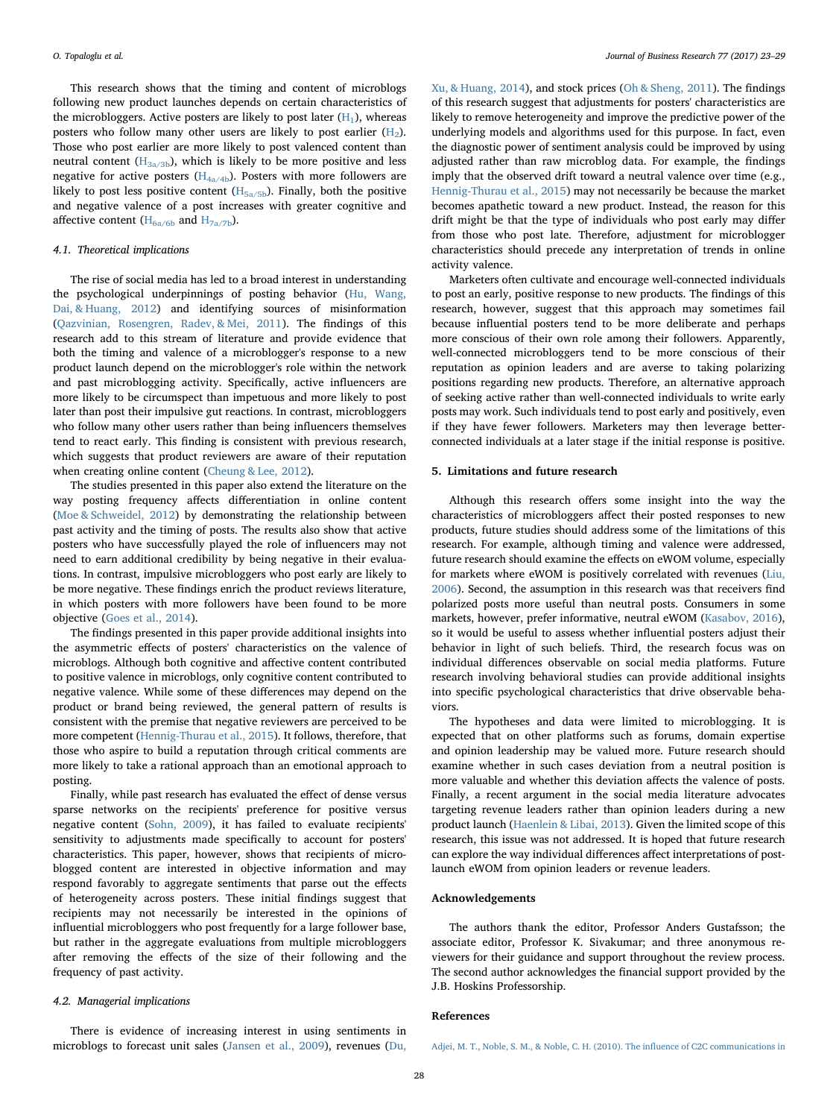This research shows that the timing and content of microblogs following new product launches depends on certain characteristics of the microbloggers. Active posters are likely to post later  $(H_1)$ , whereas posters who follow many other users are likely to post earlier  $(H_2)$ . Those who post earlier are more likely to post valenced content than neutral content  $(H<sub>3a/3b</sub>)$ , which is likely to be more positive and less negative for active posters ( $H_{4a/4b}$ ). Posters with more followers are likely to post less positive content  $(H_{5a/5b})$ . Finally, both the positive and negative valence of a post increases with greater cognitive and affective content ( $H_{6a/6b}$  and  $H_{7a/7b}$ ).

#### 4.1. Theoretical implications

The rise of social media has led to a broad interest in understanding the psychological underpinnings of posting behavior ([Hu, Wang,](#page-6-53) [Dai, & Huang, 2012](#page-6-53)) and identifying sources of misinformation ([Qazvinian, Rosengren, Radev, & Mei, 2011](#page-6-54)). The findings of this research add to this stream of literature and provide evidence that both the timing and valence of a microblogger's response to a new product launch depend on the microblogger's role within the network and past microblogging activity. Specifically, active influencers are more likely to be circumspect than impetuous and more likely to post later than post their impulsive gut reactions. In contrast, microbloggers who follow many other users rather than being influencers themselves tend to react early. This finding is consistent with previous research, which suggests that product reviewers are aware of their reputation when creating online content ([Cheung & Lee, 2012\)](#page-6-11).

The studies presented in this paper also extend the literature on the way posting frequency affects differentiation in online content ([Moe & Schweidel, 2012](#page-6-4)) by demonstrating the relationship between past activity and the timing of posts. The results also show that active posters who have successfully played the role of influencers may not need to earn additional credibility by being negative in their evaluations. In contrast, impulsive microbloggers who post early are likely to be more negative. These findings enrich the product reviews literature, in which posters with more followers have been found to be more objective [\(Goes et al., 2014\)](#page-6-13).

The findings presented in this paper provide additional insights into the asymmetric effects of posters' characteristics on the valence of microblogs. Although both cognitive and affective content contributed to positive valence in microblogs, only cognitive content contributed to negative valence. While some of these differences may depend on the product or brand being reviewed, the general pattern of results is consistent with the premise that negative reviewers are perceived to be more competent ([Hennig-Thurau et al., 2015](#page-6-5)). It follows, therefore, that those who aspire to build a reputation through critical comments are more likely to take a rational approach than an emotional approach to posting.

Finally, while past research has evaluated the effect of dense versus sparse networks on the recipients' preference for positive versus negative content ([Sohn, 2009\)](#page-6-31), it has failed to evaluate recipients' sensitivity to adjustments made specifically to account for posters' characteristics. This paper, however, shows that recipients of microblogged content are interested in objective information and may respond favorably to aggregate sentiments that parse out the effects of heterogeneity across posters. These initial findings suggest that recipients may not necessarily be interested in the opinions of influential microbloggers who post frequently for a large follower base, but rather in the aggregate evaluations from multiple microbloggers after removing the effects of the size of their following and the frequency of past activity.

#### 4.2. Managerial implications

There is evidence of increasing interest in using sentiments in microblogs to forecast unit sales [\(Jansen et al., 2009](#page-6-7)), revenues [\(Du,](#page-6-55) [Xu, & Huang, 2014\)](#page-6-55), and stock prices ([Oh & Sheng, 2011\)](#page-6-56). The findings of this research suggest that adjustments for posters' characteristics are likely to remove heterogeneity and improve the predictive power of the underlying models and algorithms used for this purpose. In fact, even the diagnostic power of sentiment analysis could be improved by using adjusted rather than raw microblog data. For example, the findings imply that the observed drift toward a neutral valence over time (e.g., [Hennig-Thurau et al., 2015](#page-6-5)) may not necessarily be because the market becomes apathetic toward a new product. Instead, the reason for this drift might be that the type of individuals who post early may differ from those who post late. Therefore, adjustment for microblogger characteristics should precede any interpretation of trends in online activity valence.

Marketers often cultivate and encourage well-connected individuals to post an early, positive response to new products. The findings of this research, however, suggest that this approach may sometimes fail because influential posters tend to be more deliberate and perhaps more conscious of their own role among their followers. Apparently, well-connected microbloggers tend to be more conscious of their reputation as opinion leaders and are averse to taking polarizing positions regarding new products. Therefore, an alternative approach of seeking active rather than well-connected individuals to write early posts may work. Such individuals tend to post early and positively, even if they have fewer followers. Marketers may then leverage betterconnected individuals at a later stage if the initial response is positive.

## 5. Limitations and future research

Although this research offers some insight into the way the characteristics of microbloggers affect their posted responses to new products, future studies should address some of the limitations of this research. For example, although timing and valence were addressed, future research should examine the effects on eWOM volume, especially for markets where eWOM is positively correlated with revenues [\(Liu,](#page-6-2) [2006\)](#page-6-2). Second, the assumption in this research was that receivers find polarized posts more useful than neutral posts. Consumers in some markets, however, prefer informative, neutral eWOM [\(Kasabov, 2016](#page-6-57)), so it would be useful to assess whether influential posters adjust their behavior in light of such beliefs. Third, the research focus was on individual differences observable on social media platforms. Future research involving behavioral studies can provide additional insights into specific psychological characteristics that drive observable behaviors.

The hypotheses and data were limited to microblogging. It is expected that on other platforms such as forums, domain expertise and opinion leadership may be valued more. Future research should examine whether in such cases deviation from a neutral position is more valuable and whether this deviation affects the valence of posts. Finally, a recent argument in the social media literature advocates targeting revenue leaders rather than opinion leaders during a new product launch ([Haenlein & Libai, 2013\)](#page-6-58). Given the limited scope of this research, this issue was not addressed. It is hoped that future research can explore the way individual differences affect interpretations of postlaunch eWOM from opinion leaders or revenue leaders.

# Acknowledgements

The authors thank the editor, Professor Anders Gustafsson; the associate editor, Professor K. Sivakumar; and three anonymous reviewers for their guidance and support throughout the review process. The second author acknowledges the financial support provided by the J.B. Hoskins Professorship.

#### References

<span id="page-5-0"></span>[Adjei, M. T., Noble, S. M., & Noble, C. H. \(2010\). The in](http://refhub.elsevier.com/S0148-2963(17)30115-7/rf0005)fluence of C2C communications in